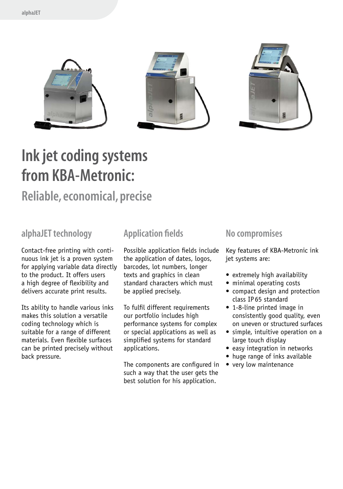

#### **Ink jet coding systems from KBA-Metronic:**

#### **Reliable, economical, precise**

#### **alphaJET technology**

Contact-free printing with continuous ink jet is a proven system for applying variable data directly to the product. It offers users a high degree of flexibility and delivers accurate print results.

Its ability to handle various inks makes this solution a versatile coding technology which is suitable for a range of different materials. Even flexible surfaces can be printed precisely without back pressure.

#### **Application fields**

Possible application fields include the application of dates, logos, barcodes, lot numbers, longer texts and graphics in clean standard characters which must be applied precisely.

To fulfil different requirements our portfolio includes high performance systems for complex or special applications as well as simplified systems for standard applications.

The components are configured in such a way that the user gets the best solution for his application.

#### **No compromises**

Key features of KBA-Metronic ink jet systems are:

- extremely high availability
- minimal operating costs
- compact design and protection class IP65 standard
- 1-8-line printed image in consistently good quality, even on uneven or structured surfaces
- simple, intuitive operation on a large touch display
- easy integration in networks
- huge range of inks available
- very low maintenance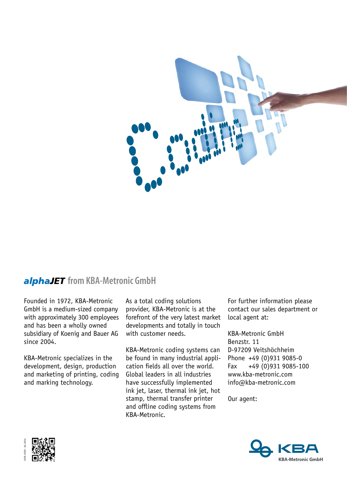

#### *alphaJET* from KBA-Metronic GmbH

Founded in 1972, KBA-Metronic GmbH is a medium-sized company with approximately 300 employees and has been a wholly owned subsidiary of Koenig and Bauer AG since 2004.

KBA-Metronic specializes in the development, design, production and marketing of printing, coding and marking technology.

As a total coding solutions provider, KBA-Metronic is at the forefront of the very latest market developments and totally in touch with customer needs.

KBA-Metronic coding systems can be found in many industrial application fields all over the world. Global leaders in all industries have successfully implemented ink jet, laser, thermal ink jet, hot stamp, thermal transfer printer and offline coding systems from KBA-Metronic.

For further information please contact our sales department or local agent at:

KBA-Metronic GmbH Benzstr. 11 D-97209 Veitshöchheim Phone +49 (0)931 9085-0 Fax +49 (0)931 9085-100 www.kba-metronic.com info@kba-metronic.com

Our agent:



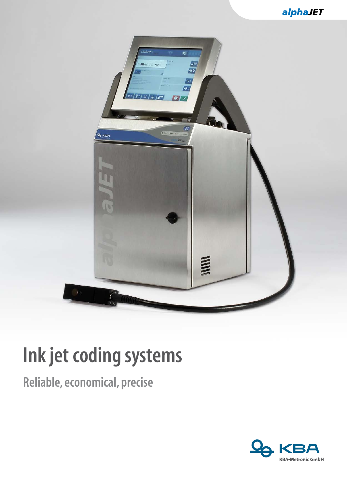

# **Ink jet coding systems**

**Reliable, economical, precise**

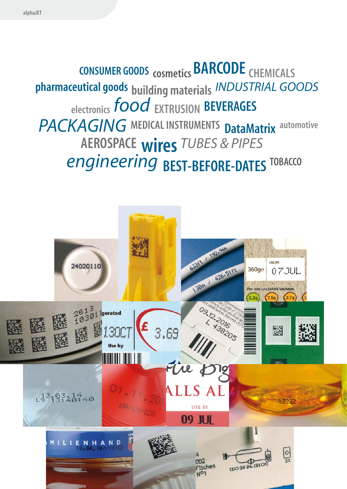**CONSUMER GOODS** cosmetics **BARCODE** CHEMICALS **pharmaceutical goods building materials** *industrial goods*   **electronics** *food* **Extrusion beverages**  *packaging* **medical instruments DataMatrix automotive aerospace wires** *tubes & pipes* *engineering* **best-before-dates tobacco**

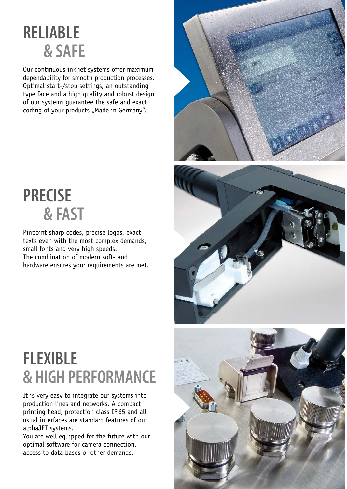### **Reliable & safe**

Our continuous ink jet systems offer maximum dependability for smooth production processes. Optimal start-/stop settings, an outstanding type face and a high quality and robust design of our systems guarantee the safe and exact coding of your products "Made in Germany".

### **Precise & fast**

Pinpoint sharp codes, precise logos, exact texts even with the most complex demands, small fonts and very high speeds. The combination of modern soft- and hardware ensures your requirements are met.

## **Flexible & high performance**

It is very easy to integrate our systems into production lines and networks. A compact printing head, protection class IP 65 and all usual interfaces are standard features of our alphaJET systems.

You are well equipped for the future with our optimal software for camera connection, access to data bases or other demands.